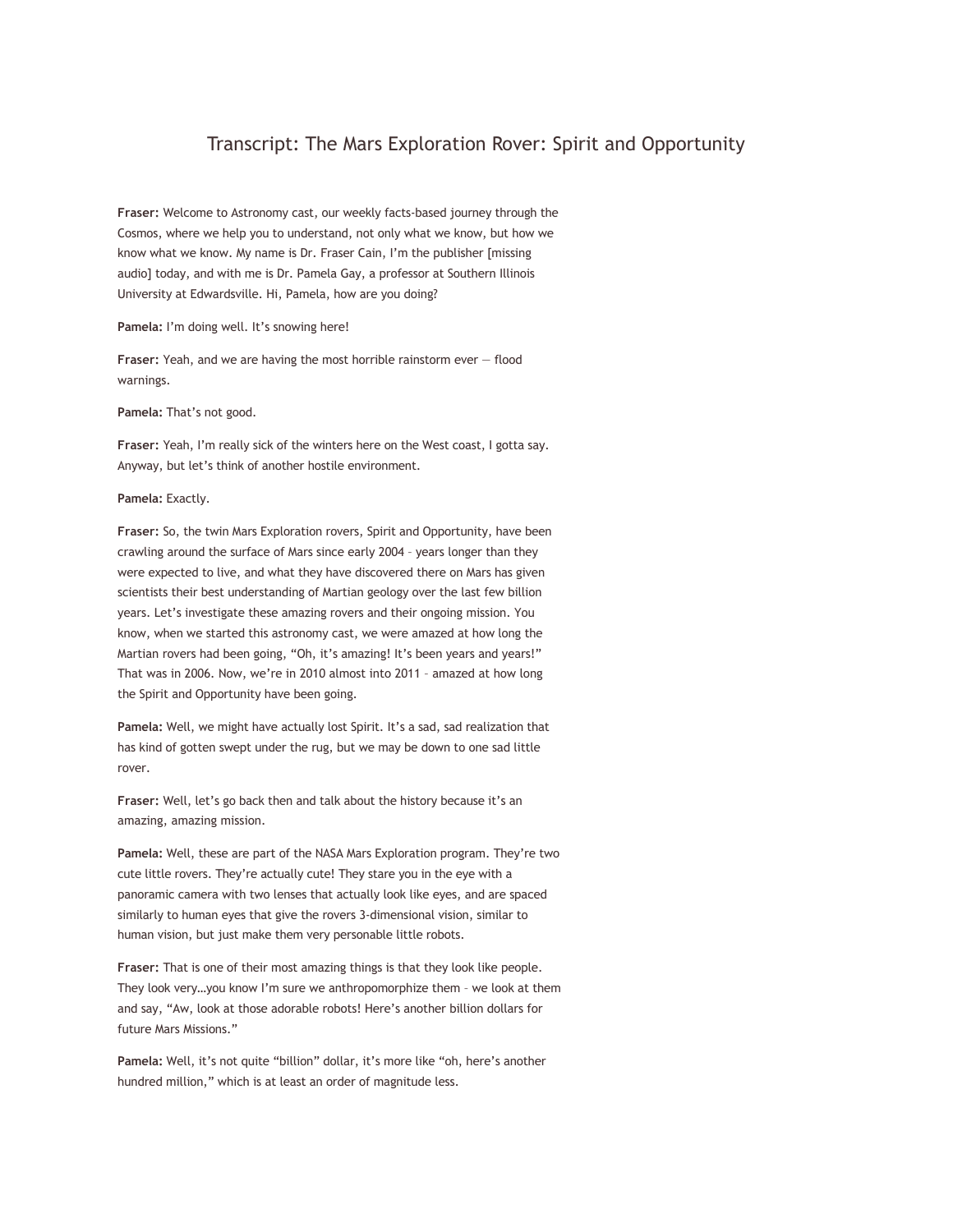## Transcript: The Mars Exploration Rover: Spirit and Opportunity

**Fraser:** Welcome to Astronomy cast, our weekly facts-based journey through the Cosmos, where we help you to understand, not only what we know, but how we know what we know. My name is Dr. Fraser Cain, I'm the publisher [missing audio] today, and with me is Dr. Pamela Gay, a professor at Southern Illinois University at Edwardsville. Hi, Pamela, how are you doing?

**Pamela:** I'm doing well. It's snowing here!

**Fraser:** Yeah, and we are having the most horrible rainstorm ever — flood warnings.

**Pamela:** That's not good.

**Fraser:** Yeah, I'm really sick of the winters here on the West coast, I gotta say. Anyway, but let's think of another hostile environment.

**Pamela:** Exactly.

**Fraser:** So, the twin Mars Exploration rovers, Spirit and Opportunity, have been crawling around the surface of Mars since early 2004 – years longer than they were expected to live, and what they have discovered there on Mars has given scientists their best understanding of Martian geology over the last few billion years. Let's investigate these amazing rovers and their ongoing mission. You know, when we started this astronomy cast, we were amazed at how long the Martian rovers had been going, "Oh, it's amazing! It's been years and years!" That was in 2006. Now, we're in 2010 almost into 2011 – amazed at how long the Spirit and Opportunity have been going.

**Pamela:** Well, we might have actually lost Spirit. It's a sad, sad realization that has kind of gotten swept under the rug, but we may be down to one sad little rover.

**Fraser:** Well, let's go back then and talk about the history because it's an amazing, amazing mission.

**Pamela:** Well, these are part of the NASA Mars Exploration program. They're two cute little rovers. They're actually cute! They stare you in the eye with a panoramic camera with two lenses that actually look like eyes, and are spaced similarly to human eyes that give the rovers 3-dimensional vision, similar to human vision, but just make them very personable little robots.

**Fraser:** That is one of their most amazing things is that they look like people. They look very…you know I'm sure we anthropomorphize them – we look at them and say, "Aw, look at those adorable robots! Here's another billion dollars for future Mars Missions."

**Pamela:** Well, it's not quite "billion" dollar, it's more like "oh, here's another hundred million," which is at least an order of magnitude less.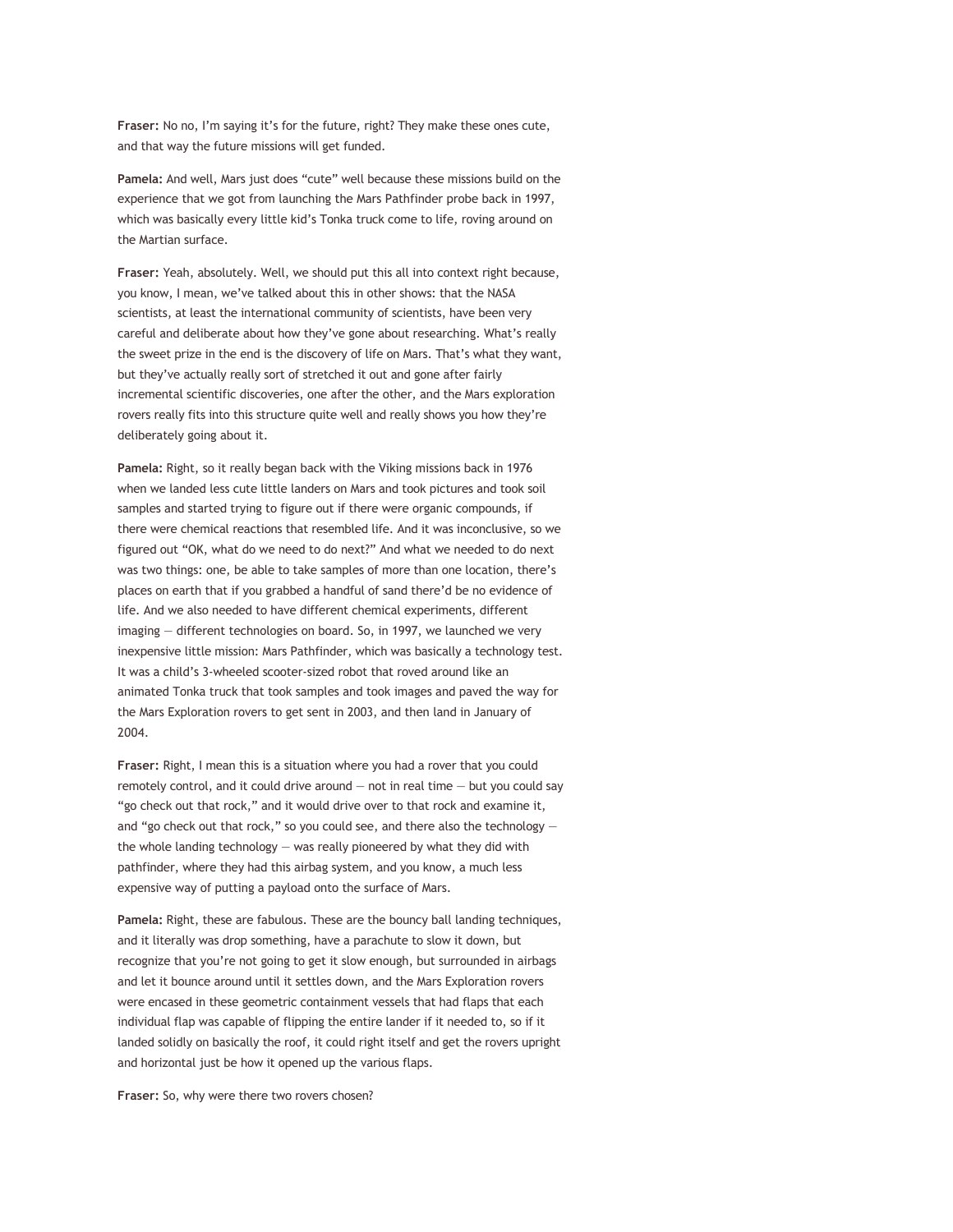**Fraser:** No no, I'm saying it's for the future, right? They make these ones cute, and that way the future missions will get funded.

**Pamela:** And well, Mars just does "cute" well because these missions build on the experience that we got from launching the Mars Pathfinder probe back in 1997, which was basically every little kid's Tonka truck come to life, roving around on the Martian surface.

**Fraser:** Yeah, absolutely. Well, we should put this all into context right because, you know, I mean, we've talked about this in other shows: that the NASA scientists, at least the international community of scientists, have been very careful and deliberate about how they've gone about researching. What's really the sweet prize in the end is the discovery of life on Mars. That's what they want, but they've actually really sort of stretched it out and gone after fairly incremental scientific discoveries, one after the other, and the Mars exploration rovers really fits into this structure quite well and really shows you how they're deliberately going about it.

**Pamela:** Right, so it really began back with the Viking missions back in 1976 when we landed less cute little landers on Mars and took pictures and took soil samples and started trying to figure out if there were organic compounds, if there were chemical reactions that resembled life. And it was inconclusive, so we figured out "OK, what do we need to do next?" And what we needed to do next was two things: one, be able to take samples of more than one location, there's places on earth that if you grabbed a handful of sand there'd be no evidence of life. And we also needed to have different chemical experiments, different imaging — different technologies on board. So, in 1997, we launched we very inexpensive little mission: Mars Pathfinder, which was basically a technology test. It was a child's 3-wheeled scooter-sized robot that roved around like an animated Tonka truck that took samples and took images and paved the way for the Mars Exploration rovers to get sent in 2003, and then land in January of 2004.

**Fraser:** Right, I mean this is a situation where you had a rover that you could remotely control, and it could drive around  $-$  not in real time  $-$  but you could say "go check out that rock," and it would drive over to that rock and examine it, and "go check out that rock," so you could see, and there also the technology the whole landing technology — was really pioneered by what they did with pathfinder, where they had this airbag system, and you know, a much less expensive way of putting a payload onto the surface of Mars.

**Pamela:** Right, these are fabulous. These are the bouncy ball landing techniques, and it literally was drop something, have a parachute to slow it down, but recognize that you're not going to get it slow enough, but surrounded in airbags and let it bounce around until it settles down, and the Mars Exploration rovers were encased in these geometric containment vessels that had flaps that each individual flap was capable of flipping the entire lander if it needed to, so if it landed solidly on basically the roof, it could right itself and get the rovers upright and horizontal just be how it opened up the various flaps.

**Fraser:** So, why were there two rovers chosen?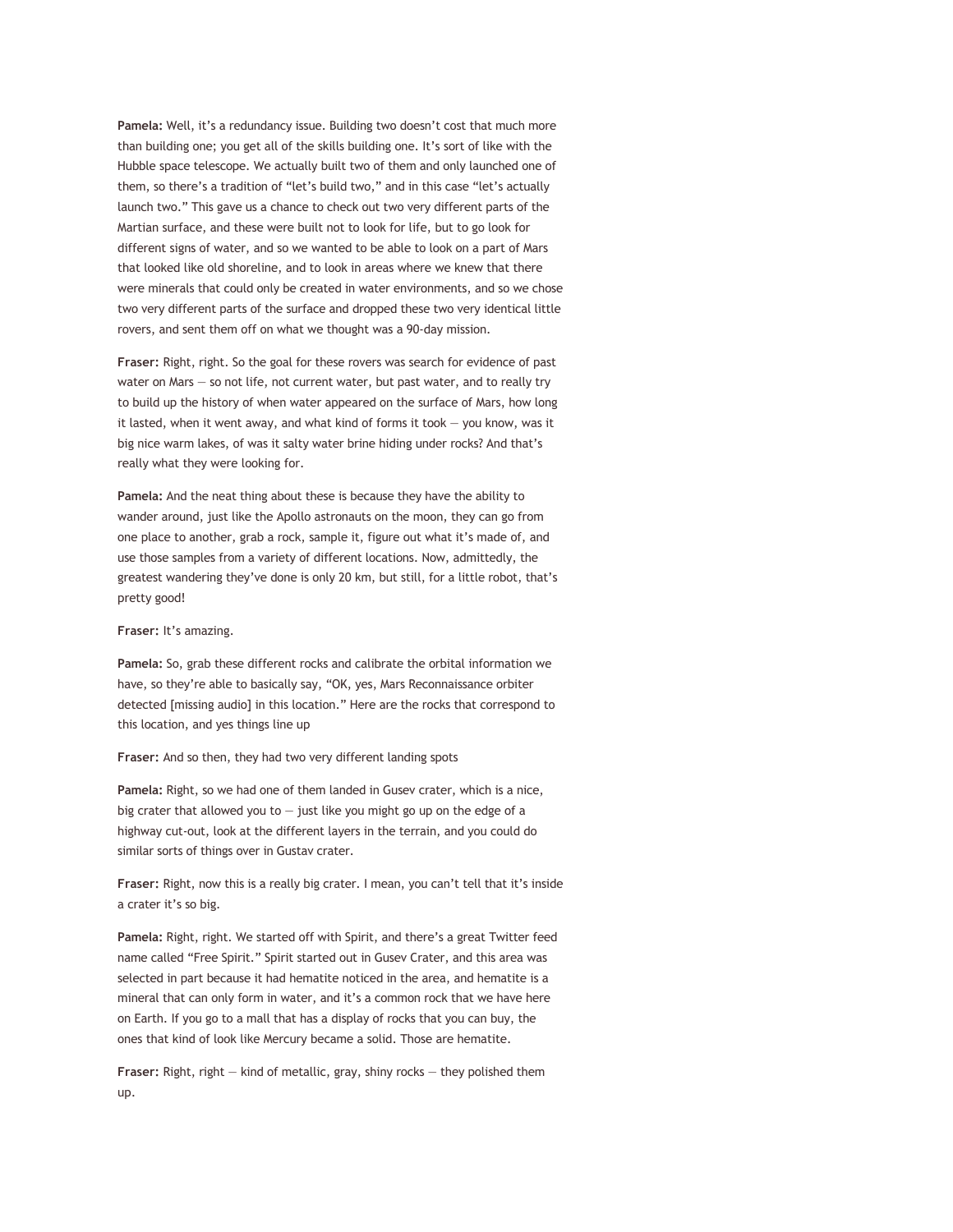**Pamela:** Well, it's a redundancy issue. Building two doesn't cost that much more than building one; you get all of the skills building one. It's sort of like with the Hubble space telescope. We actually built two of them and only launched one of them, so there's a tradition of "let's build two," and in this case "let's actually launch two." This gave us a chance to check out two very different parts of the Martian surface, and these were built not to look for life, but to go look for different signs of water, and so we wanted to be able to look on a part of Mars that looked like old shoreline, and to look in areas where we knew that there were minerals that could only be created in water environments, and so we chose two very different parts of the surface and dropped these two very identical little rovers, and sent them off on what we thought was a 90-day mission.

**Fraser:** Right, right. So the goal for these rovers was search for evidence of past water on Mars — so not life, not current water, but past water, and to really try to build up the history of when water appeared on the surface of Mars, how long it lasted, when it went away, and what kind of forms it took  $-$  you know, was it big nice warm lakes, of was it salty water brine hiding under rocks? And that's really what they were looking for.

**Pamela:** And the neat thing about these is because they have the ability to wander around, just like the Apollo astronauts on the moon, they can go from one place to another, grab a rock, sample it, figure out what it's made of, and use those samples from a variety of different locations. Now, admittedly, the greatest wandering they've done is only 20 km, but still, for a little robot, that's pretty good!

**Fraser:** It's amazing.

**Pamela:** So, grab these different rocks and calibrate the orbital information we have, so they're able to basically say, "OK, yes, Mars Reconnaissance orbiter detected [missing audio] in this location." Here are the rocks that correspond to this location, and yes things line up

**Fraser:** And so then, they had two very different landing spots

**Pamela:** Right, so we had one of them landed in Gusev crater, which is a nice, big crater that allowed you to  $-$  just like you might go up on the edge of a highway cut-out, look at the different layers in the terrain, and you could do similar sorts of things over in Gustav crater.

**Fraser:** Right, now this is a really big crater. I mean, you can't tell that it's inside a crater it's so big.

**Pamela:** Right, right. We started off with Spirit, and there's a great Twitter feed name called "Free Spirit." Spirit started out in Gusev Crater, and this area was selected in part because it had hematite noticed in the area, and hematite is a mineral that can only form in water, and it's a common rock that we have here on Earth. If you go to a mall that has a display of rocks that you can buy, the ones that kind of look like Mercury became a solid. Those are hematite.

**Fraser:** Right, right — kind of metallic, gray, shiny rocks — they polished them up.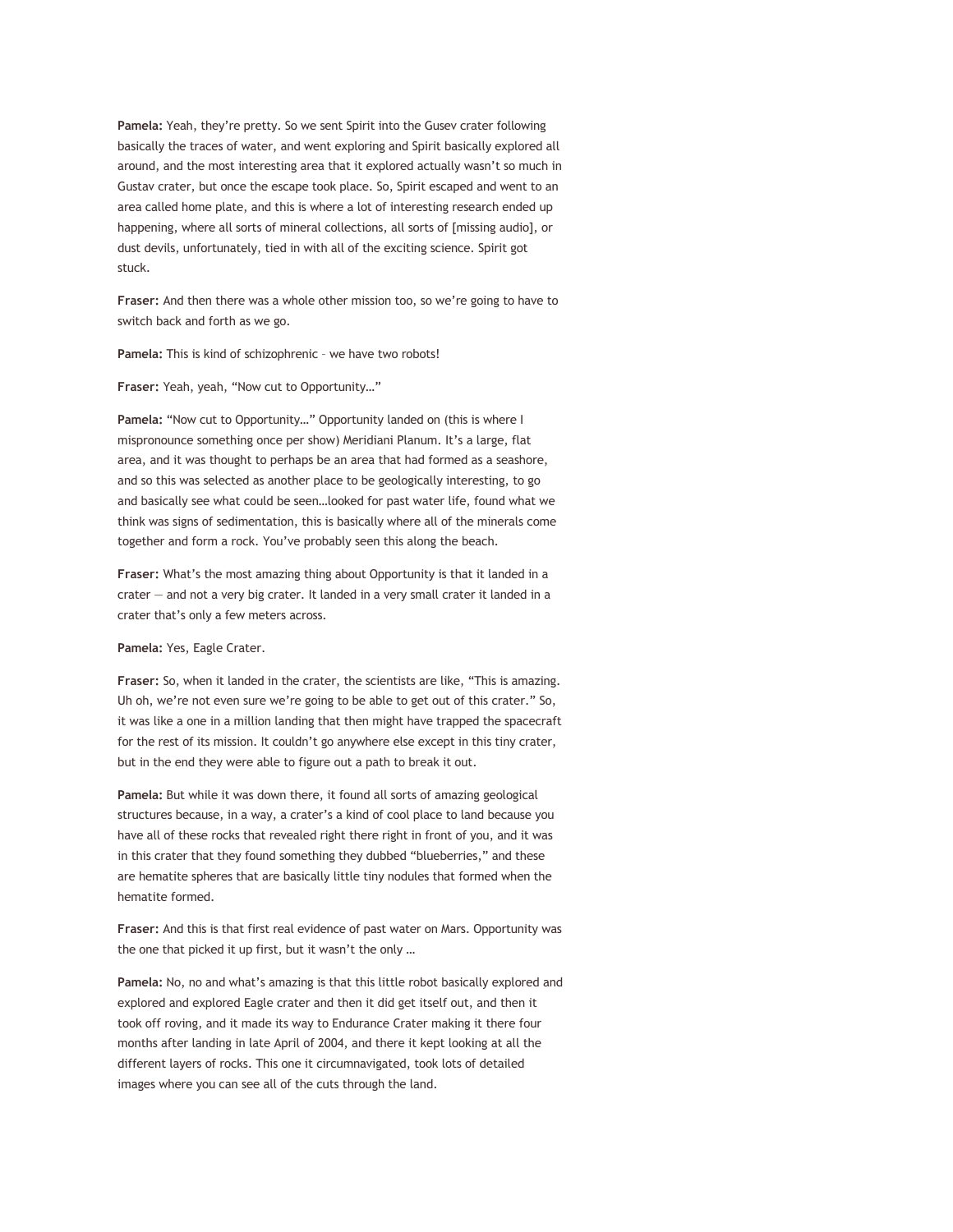**Pamela:** Yeah, they're pretty. So we sent Spirit into the Gusev crater following basically the traces of water, and went exploring and Spirit basically explored all around, and the most interesting area that it explored actually wasn't so much in Gustav crater, but once the escape took place. So, Spirit escaped and went to an area called home plate, and this is where a lot of interesting research ended up happening, where all sorts of mineral collections, all sorts of [missing audio], or dust devils, unfortunately, tied in with all of the exciting science. Spirit got stuck.

**Fraser:** And then there was a whole other mission too, so we're going to have to switch back and forth as we go.

**Pamela:** This is kind of schizophrenic – we have two robots!

**Fraser:** Yeah, yeah, "Now cut to Opportunity…"

**Pamela:** "Now cut to Opportunity…" Opportunity landed on (this is where I mispronounce something once per show) Meridiani Planum. It's a large, flat area, and it was thought to perhaps be an area that had formed as a seashore, and so this was selected as another place to be geologically interesting, to go and basically see what could be seen…looked for past water life, found what we think was signs of sedimentation, this is basically where all of the minerals come together and form a rock. You've probably seen this along the beach.

**Fraser:** What's the most amazing thing about Opportunity is that it landed in a crater — and not a very big crater. It landed in a very small crater it landed in a crater that's only a few meters across.

**Pamela:** Yes, Eagle Crater.

**Fraser:** So, when it landed in the crater, the scientists are like, "This is amazing. Uh oh, we're not even sure we're going to be able to get out of this crater." So, it was like a one in a million landing that then might have trapped the spacecraft for the rest of its mission. It couldn't go anywhere else except in this tiny crater, but in the end they were able to figure out a path to break it out.

**Pamela:** But while it was down there, it found all sorts of amazing geological structures because, in a way, a crater's a kind of cool place to land because you have all of these rocks that revealed right there right in front of you, and it was in this crater that they found something they dubbed "blueberries," and these are hematite spheres that are basically little tiny nodules that formed when the hematite formed.

**Fraser:** And this is that first real evidence of past water on Mars. Opportunity was the one that picked it up first, but it wasn't the only …

**Pamela:** No, no and what's amazing is that this little robot basically explored and explored and explored Eagle crater and then it did get itself out, and then it took off roving, and it made its way to Endurance Crater making it there four months after landing in late April of 2004, and there it kept looking at all the different layers of rocks. This one it circumnavigated, took lots of detailed images where you can see all of the cuts through the land.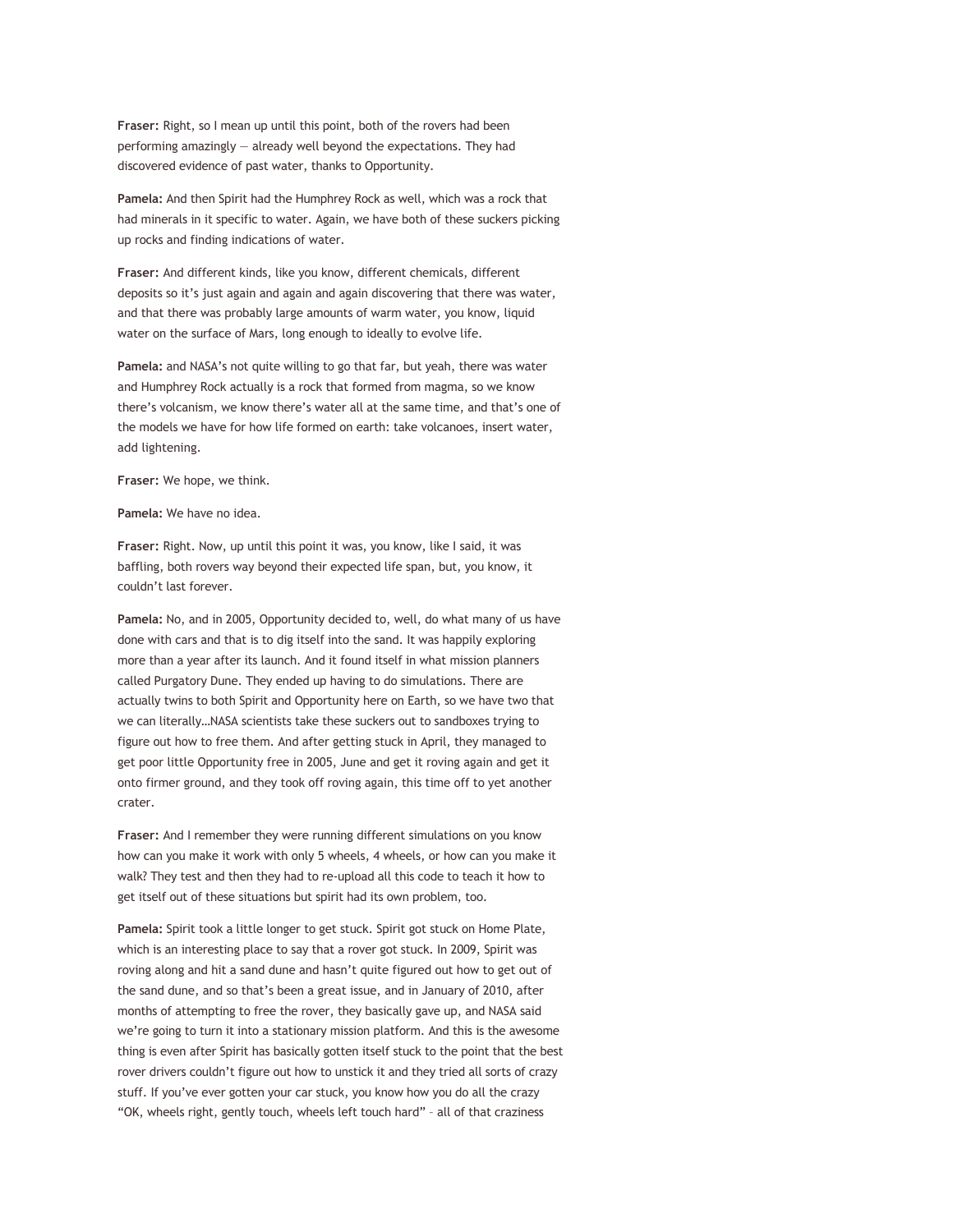**Fraser:** Right, so I mean up until this point, both of the rovers had been performing amazingly — already well beyond the expectations. They had discovered evidence of past water, thanks to Opportunity.

**Pamela:** And then Spirit had the Humphrey Rock as well, which was a rock that had minerals in it specific to water. Again, we have both of these suckers picking up rocks and finding indications of water.

**Fraser:** And different kinds, like you know, different chemicals, different deposits so it's just again and again and again discovering that there was water, and that there was probably large amounts of warm water, you know, liquid water on the surface of Mars, long enough to ideally to evolve life.

**Pamela:** and NASA's not quite willing to go that far, but yeah, there was water and Humphrey Rock actually is a rock that formed from magma, so we know there's volcanism, we know there's water all at the same time, and that's one of the models we have for how life formed on earth: take volcanoes, insert water, add lightening.

**Fraser:** We hope, we think.

**Pamela:** We have no idea.

**Fraser:** Right. Now, up until this point it was, you know, like I said, it was baffling, both rovers way beyond their expected life span, but, you know, it couldn't last forever.

**Pamela:** No, and in 2005, Opportunity decided to, well, do what many of us have done with cars and that is to dig itself into the sand. It was happily exploring more than a year after its launch. And it found itself in what mission planners called Purgatory Dune. They ended up having to do simulations. There are actually twins to both Spirit and Opportunity here on Earth, so we have two that we can literally…NASA scientists take these suckers out to sandboxes trying to figure out how to free them. And after getting stuck in April, they managed to get poor little Opportunity free in 2005, June and get it roving again and get it onto firmer ground, and they took off roving again, this time off to yet another crater.

**Fraser:** And I remember they were running different simulations on you know how can you make it work with only 5 wheels, 4 wheels, or how can you make it walk? They test and then they had to re-upload all this code to teach it how to get itself out of these situations but spirit had its own problem, too.

**Pamela:** Spirit took a little longer to get stuck. Spirit got stuck on Home Plate, which is an interesting place to say that a rover got stuck. In 2009, Spirit was roving along and hit a sand dune and hasn't quite figured out how to get out of the sand dune, and so that's been a great issue, and in January of 2010, after months of attempting to free the rover, they basically gave up, and NASA said we're going to turn it into a stationary mission platform. And this is the awesome thing is even after Spirit has basically gotten itself stuck to the point that the best rover drivers couldn't figure out how to unstick it and they tried all sorts of crazy stuff. If you've ever gotten your car stuck, you know how you do all the crazy "OK, wheels right, gently touch, wheels left touch hard" – all of that craziness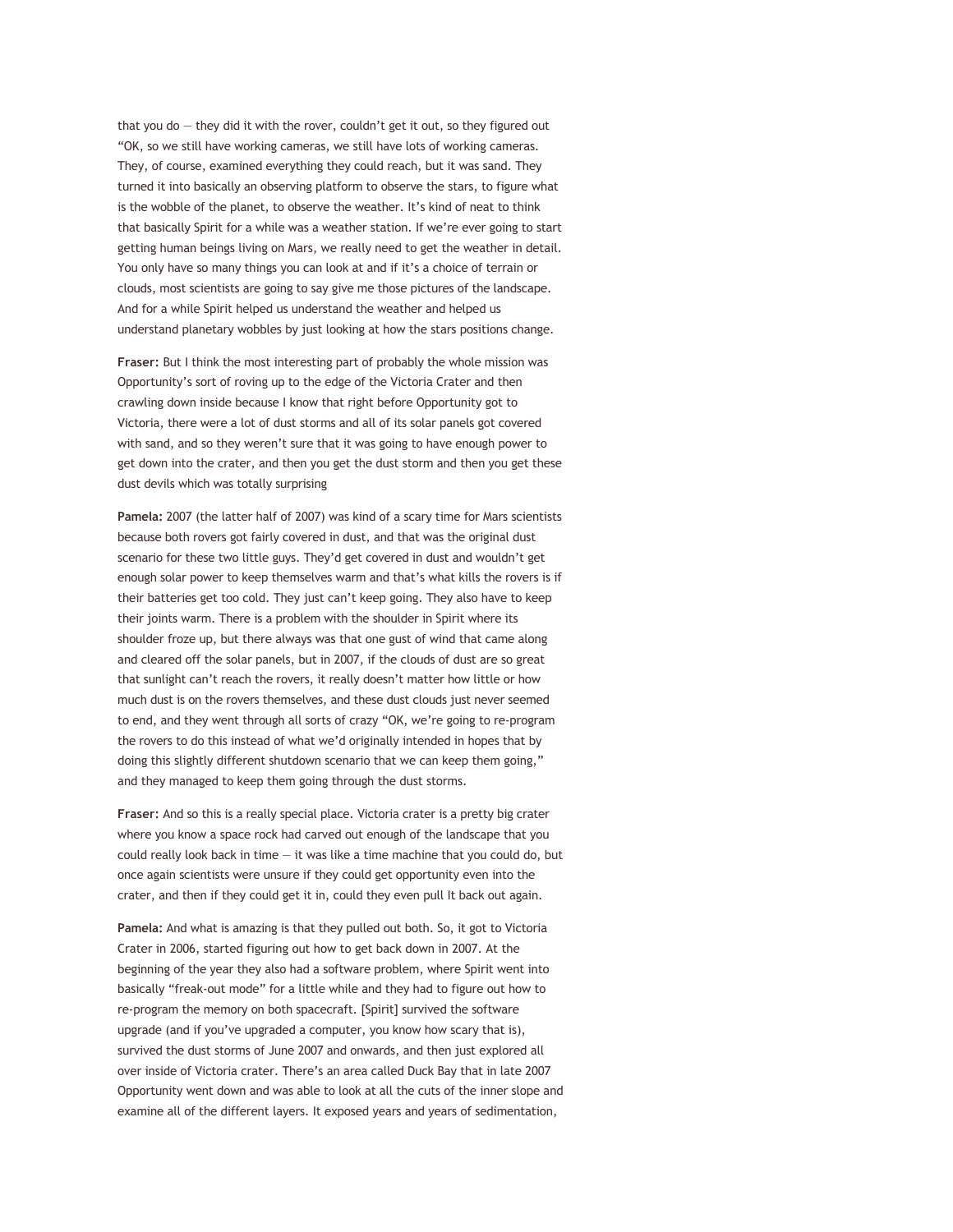that you do  $-$  they did it with the rover, couldn't get it out, so they figured out "OK, so we still have working cameras, we still have lots of working cameras. They, of course, examined everything they could reach, but it was sand. They turned it into basically an observing platform to observe the stars, to figure what is the wobble of the planet, to observe the weather. It's kind of neat to think that basically Spirit for a while was a weather station. If we're ever going to start getting human beings living on Mars, we really need to get the weather in detail. You only have so many things you can look at and if it's a choice of terrain or clouds, most scientists are going to say give me those pictures of the landscape. And for a while Spirit helped us understand the weather and helped us understand planetary wobbles by just looking at how the stars positions change.

**Fraser:** But I think the most interesting part of probably the whole mission was Opportunity's sort of roving up to the edge of the Victoria Crater and then crawling down inside because I know that right before Opportunity got to Victoria, there were a lot of dust storms and all of its solar panels got covered with sand, and so they weren't sure that it was going to have enough power to get down into the crater, and then you get the dust storm and then you get these dust devils which was totally surprising

**Pamela:** 2007 (the latter half of 2007) was kind of a scary time for Mars scientists because both rovers got fairly covered in dust, and that was the original dust scenario for these two little guys. They'd get covered in dust and wouldn't get enough solar power to keep themselves warm and that's what kills the rovers is if their batteries get too cold. They just can't keep going. They also have to keep their joints warm. There is a problem with the shoulder in Spirit where its shoulder froze up, but there always was that one gust of wind that came along and cleared off the solar panels, but in 2007, if the clouds of dust are so great that sunlight can't reach the rovers, it really doesn't matter how little or how much dust is on the rovers themselves, and these dust clouds just never seemed to end, and they went through all sorts of crazy "OK, we're going to re-program the rovers to do this instead of what we'd originally intended in hopes that by doing this slightly different shutdown scenario that we can keep them going," and they managed to keep them going through the dust storms.

**Fraser:** And so this is a really special place. Victoria crater is a pretty big crater where you know a space rock had carved out enough of the landscape that you could really look back in time  $-$  it was like a time machine that you could do, but once again scientists were unsure if they could get opportunity even into the crater, and then if they could get it in, could they even pull It back out again.

**Pamela:** And what is amazing is that they pulled out both. So, it got to Victoria Crater in 2006, started figuring out how to get back down in 2007. At the beginning of the year they also had a software problem, where Spirit went into basically "freak-out mode" for a little while and they had to figure out how to re-program the memory on both spacecraft. [Spirit] survived the software upgrade (and if you've upgraded a computer, you know how scary that is), survived the dust storms of June 2007 and onwards, and then just explored all over inside of Victoria crater. There's an area called Duck Bay that in late 2007 Opportunity went down and was able to look at all the cuts of the inner slope and examine all of the different layers. It exposed years and years of sedimentation,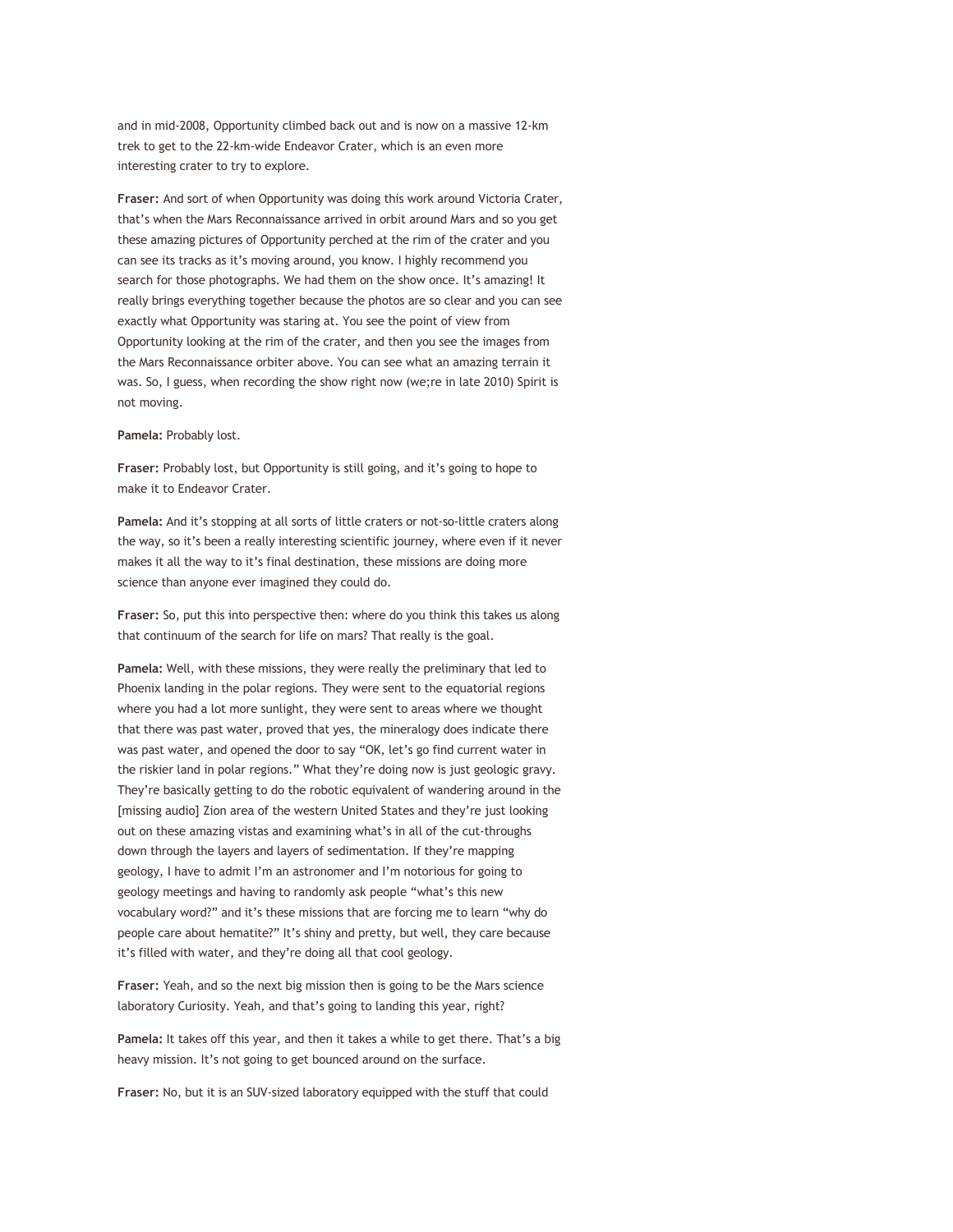and in mid-2008, Opportunity climbed back out and is now on a massive 12-km trek to get to the 22-km-wide Endeavor Crater, which is an even more interesting crater to try to explore.

**Fraser:** And sort of when Opportunity was doing this work around Victoria Crater, that's when the Mars Reconnaissance arrived in orbit around Mars and so you get these amazing pictures of Opportunity perched at the rim of the crater and you can see its tracks as it's moving around, you know. I highly recommend you search for those photographs. We had them on the show once. It's amazing! It really brings everything together because the photos are so clear and you can see exactly what Opportunity was staring at. You see the point of view from Opportunity looking at the rim of the crater, and then you see the images from the Mars Reconnaissance orbiter above. You can see what an amazing terrain it was. So, I guess, when recording the show right now (we;re in late 2010) Spirit is not moving.

## **Pamela:** Probably lost.

**Fraser:** Probably lost, but Opportunity is still going, and it's going to hope to make it to Endeavor Crater.

**Pamela:** And it's stopping at all sorts of little craters or not-so-little craters along the way, so it's been a really interesting scientific journey, where even if it never makes it all the way to it's final destination, these missions are doing more science than anyone ever imagined they could do.

**Fraser:** So, put this into perspective then: where do you think this takes us along that continuum of the search for life on mars? That really is the goal.

**Pamela:** Well, with these missions, they were really the preliminary that led to Phoenix landing in the polar regions. They were sent to the equatorial regions where you had a lot more sunlight, they were sent to areas where we thought that there was past water, proved that yes, the mineralogy does indicate there was past water, and opened the door to say "OK, let's go find current water in the riskier land in polar regions." What they're doing now is just geologic gravy. They're basically getting to do the robotic equivalent of wandering around in the [missing audio] Zion area of the western United States and they're just looking out on these amazing vistas and examining what's in all of the cut-throughs down through the layers and layers of sedimentation. If they're mapping geology, I have to admit I'm an astronomer and I'm notorious for going to geology meetings and having to randomly ask people "what's this new vocabulary word?" and it's these missions that are forcing me to learn "why do people care about hematite?" It's shiny and pretty, but well, they care because it's filled with water, and they're doing all that cool geology.

**Fraser:** Yeah, and so the next big mission then is going to be the Mars science laboratory Curiosity. Yeah, and that's going to landing this year, right?

**Pamela:** It takes off this year, and then it takes a while to get there. That's a big heavy mission. It's not going to get bounced around on the surface.

**Fraser:** No, but it is an SUV-sized laboratory equipped with the stuff that could